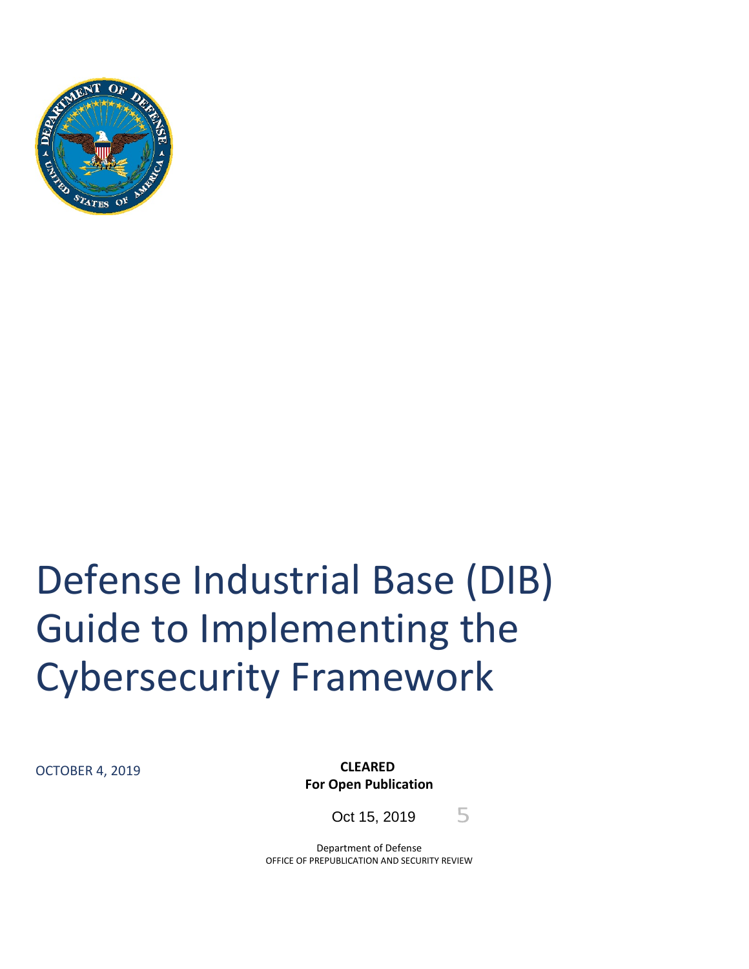

# Defense Industrial Base (DIB) Guide to Implementing the Cybersecurity Framework

**OCTOBER 4, 2019** 

For Open Publication **For Open Publication CLEARED**

> 5 Oct 15, 2019

Department of Defense Office of Prepublication and Security Review OFFICE OF PREPUBLICATION AND SECURITY REVIEW Department of Defense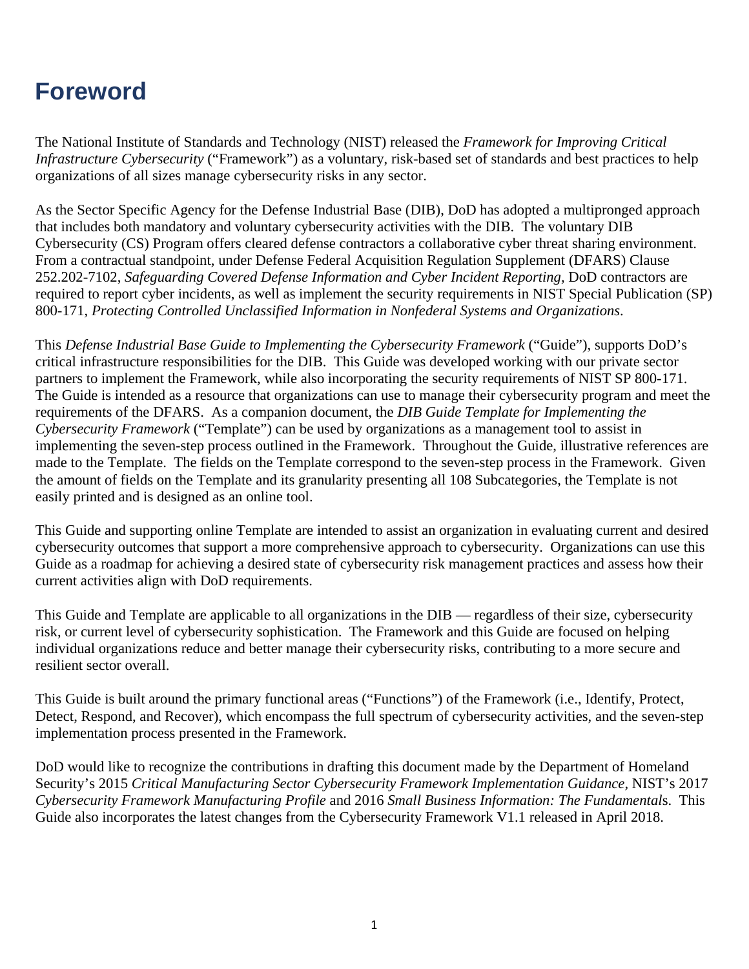### <span id="page-1-0"></span>**Foreword**

The National Institute of Standards and Technology (NIST) released the *[Framework for Improving Critical](http://www.nist.gov/cyberframework/index.cfm) [Infrastructure Cybersecurity](http://www.nist.gov/cyberframework/index.cfm)* ("Framework") as a voluntary, risk-based set of standards and best practices to help organizations of all sizes manage cybersecurity risks in any sector.

As the Sector Specific Agency for the Defense Industrial Base (DIB), DoD has adopted a multipronged approach that includes both mandatory and voluntary cybersecurity activities with the DIB. The voluntary DIB Cybersecurity (CS) Program offers cleared defense contractors a collaborative cyber threat sharing environment. From a contractual standpoint, under Defense Federal Acquisition Regulation Supplement (DFARS) Clause 252.202-7102, *Safeguarding Covered Defense Information and Cyber Incident Reporting,* DoD contractors are required to report cyber incidents, as well as implement the security requirements in NIST Special Publication (SP) 800-171, *Protecting Controlled Unclassified Information in Nonfederal Systems and Organizations*.

This *Defense Industrial Base Guide to Implementing the Cybersecurity Framework* ("Guide"), supports DoD's critical infrastructure responsibilities for the DIB. This Guide was developed working with our private sector partners to implement the Framework, while also incorporating the security requirements of NIST SP 800-171. The Guide is intended as a resource that organizations can use to manage their cybersecurity program and meet the requirements of the DFARS. As a companion document, the *DIB Guide Template for Implementing the Cybersecurity Framework* ("Template") can be used by organizations as a management tool to assist in implementing the seven-step process outlined in the Framework. Throughout the Guide, illustrative references are made to the Template. The fields on the Template correspond to the seven-step process in the Framework. Given the amount of fields on the Template and its granularity presenting all 108 Subcategories, the Template is not easily printed and is designed as an online tool.

This Guide and supporting online Template are intended to assist an organization in evaluating current and desired cybersecurity outcomes that support a more comprehensive approach to cybersecurity. Organizations can use this Guide as a roadmap for achieving a desired state of cybersecurity risk management practices and assess how their current activities align with DoD requirements.

This Guide and Template are applicable to all organizations in the DIB — regardless of their size, cybersecurity risk, or current level of cybersecurity sophistication. The Framework and this Guide are focused on helping individual organizations reduce and better manage their cybersecurity risks, contributing to a more secure and resilient sector overall.

This Guide is built around the primary functional areas ("Functions") of the Framework (i.e., Identify, Protect, Detect, Respond, and Recover), which encompass the full spectrum of cybersecurity activities, and the seven-step implementation process presented in the Framework.

DoD would like to recognize the contributions in drafting this document made by the Department of Homeland Security's 2015 *Critical Manufacturing Sector Cybersecurity Framework Implementation Guidance,* NIST's 2017 *Cybersecurity Framework Manufacturing Profile* and 2016 *Small Business Information: The Fundamental*s. This Guide also incorporates the latest changes from the Cybersecurity Framework V1.1 released in April 2018.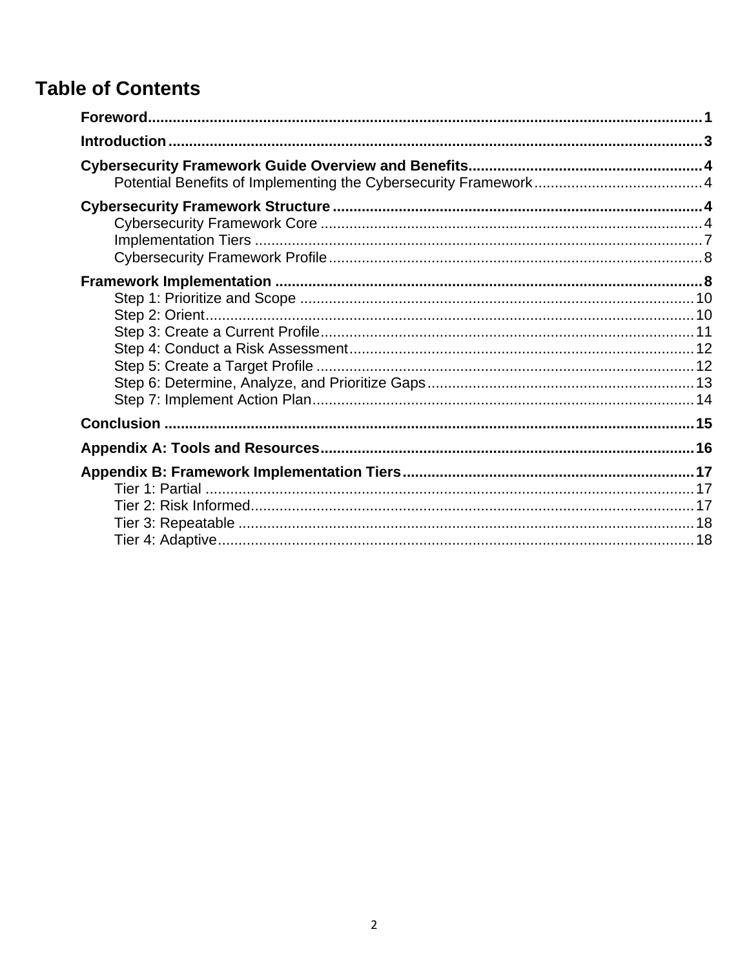### **Table of Contents**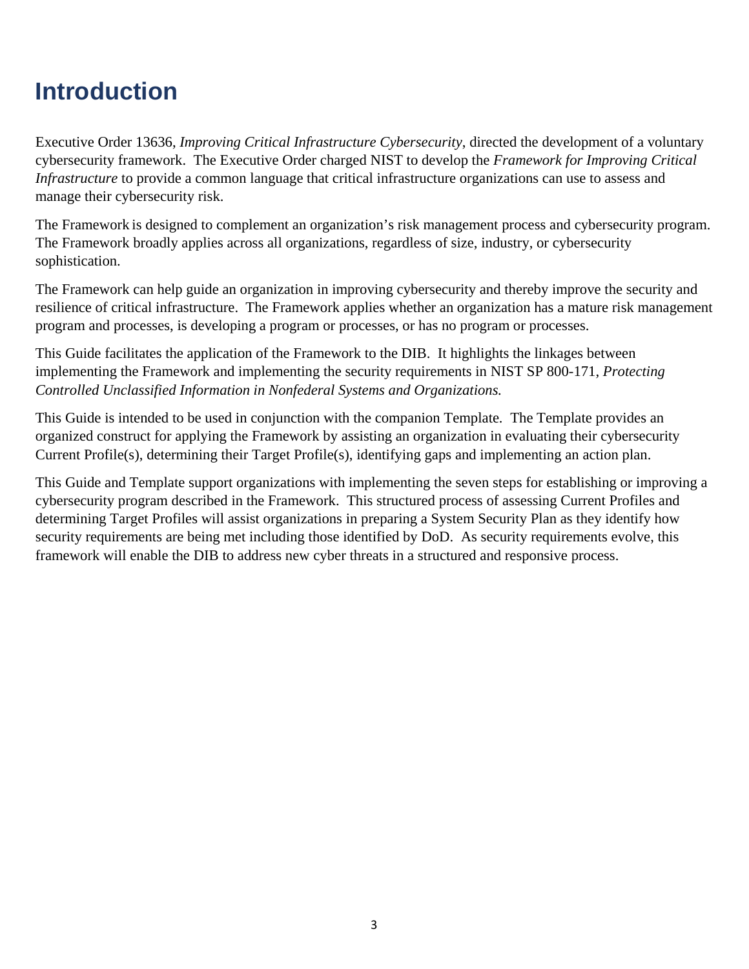### <span id="page-3-0"></span>**Introduction**

Executive Order 13636, *Improving Critical Infrastructure Cybersecurity*, directed the development of a voluntary cybersecurity framework. The Executive Order charged NIST to develop the *Framework for Improving Critical Infrastructure* to provide a common language that critical infrastructure organizations can use to assess and manage their cybersecurity risk.

The Framework is designed to complement an organization's risk management process and cybersecurity program. The Framework broadly applies across all organizations, regardless of size, industry, or cybersecurity sophistication.

The Framework can help guide an organization in improving cybersecurity and thereby improve the security and resilience of critical infrastructure. The Framework applies whether an organization has a mature risk management program and processes, is developing a program or processes, or has no program or processes.

This Guide facilitates the application of the Framework to the DIB. It highlights the linkages between implementing the Framework and implementing the security requirements in NIST SP 800-171, *Protecting Controlled Unclassified Information in Nonfederal Systems and Organizations.*

This Guide is intended to be used in conjunction with the companion Template*.* The Template provides an organized construct for applying the Framework by assisting an organization in evaluating their cybersecurity Current Profile(s), determining their Target Profile(s), identifying gaps and implementing an action plan.

This Guide and Template support organizations with implementing the seven steps for establishing or improving a cybersecurity program described in the Framework. This structured process of assessing Current Profiles and determining Target Profiles will assist organizations in preparing a System Security Plan as they identify how security requirements are being met including those identified by DoD. As security requirements evolve, this framework will enable the DIB to address new cyber threats in a structured and responsive process.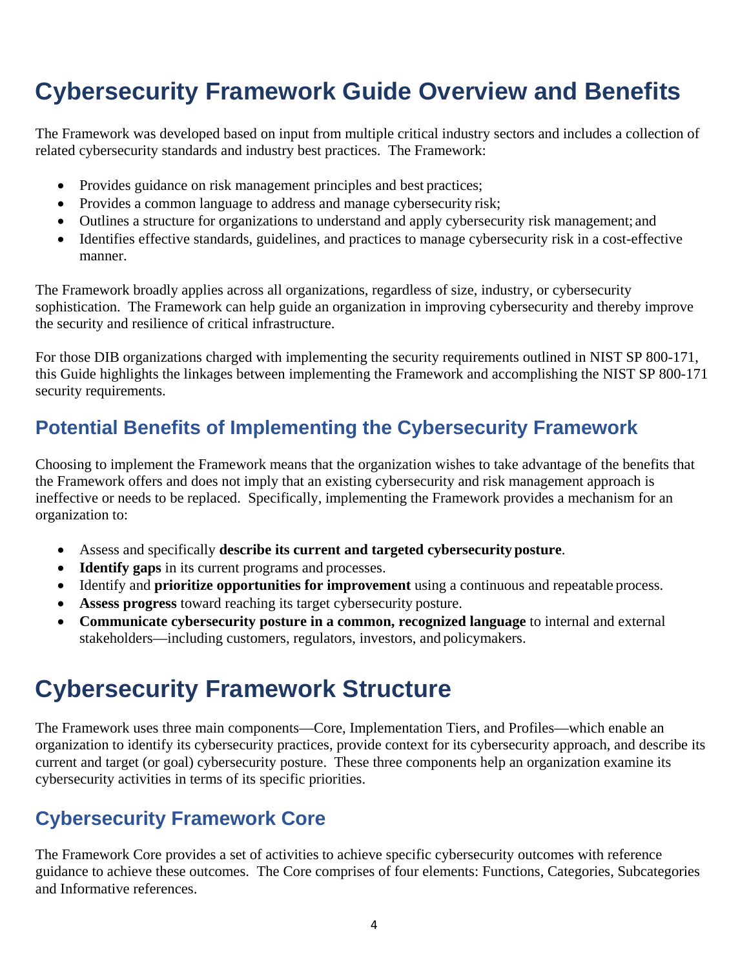### <span id="page-4-0"></span>**Cybersecurity Framework Guide Overview and Benefits**

The Framework was developed based on input from multiple critical industry sectors and includes a collection of related cybersecurity standards and industry best practices. The Framework:

- Provides guidance on risk management principles and best practices;
- Provides a common language to address and manage cybersecurity risk;
- Outlines a structure for organizations to understand and apply cybersecurity risk management; and
- Identifies effective standards, guidelines, and practices to manage cybersecurity risk in a cost-effective manner.

The Framework broadly applies across all organizations, regardless of size, industry, or cybersecurity sophistication. The Framework can help guide an organization in improving cybersecurity and thereby improve the security and resilience of critical infrastructure.

For those DIB organizations charged with implementing the security requirements outlined in NIST SP 800-171, this Guide highlights the linkages between implementing the Framework and accomplishing the NIST SP 800-171 security requirements.

### <span id="page-4-1"></span>**Potential Benefits of Implementing the Cybersecurity Framework**

Choosing to implement the Framework means that the organization wishes to take advantage of the benefits that the Framework offers and does not imply that an existing cybersecurity and risk management approach is ineffective or needs to be replaced. Specifically, implementing the Framework provides a mechanism for an organization to:

- Assess and specifically **describe its current and targeted cybersecurity posture**.
- **Identify gaps** in its current programs and processes.
- Identify and **prioritize opportunities for improvement** using a continuous and repeatable process.
- **Assess progress** toward reaching its target cybersecurity posture.
- **Communicate cybersecurity posture in a common, recognized language** to internal and external stakeholders—including customers, regulators, investors, and policymakers.

### <span id="page-4-2"></span>**Cybersecurity Framework Structure**

The Framework uses three main components—Core, Implementation Tiers, and Profiles—which enable an organization to identify its cybersecurity practices, provide context for its cybersecurity approach, and describe its current and target (or goal) cybersecurity posture. These three components help an organization examine its cybersecurity activities in terms of its specific priorities.

### <span id="page-4-3"></span>**Cybersecurity Framework Core**

The Framework Core provides a set of activities to achieve specific cybersecurity outcomes with reference guidance to achieve these outcomes. The Core comprises of four elements: Functions, Categories, Subcategories and Informative references.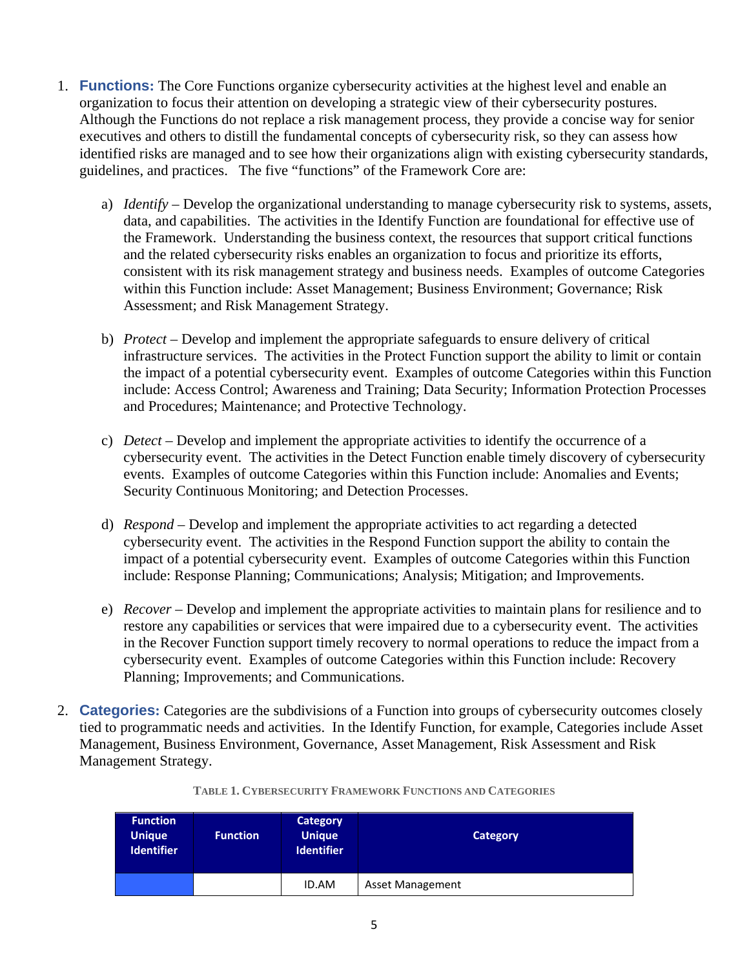- 1. **Functions:** The Core Functions organize cybersecurity activities at the highest level and enable an organization to focus their attention on developing a strategic view of their cybersecurity postures. Although the Functions do not replace a risk management process, they provide a concise way for senior executives and others to distill the fundamental concepts of cybersecurity risk, so they can assess how identified risks are managed and to see how their organizations align with existing cybersecurity standards, guidelines, and practices. The five "functions" of the Framework Core are:
	- a) *Identify* Develop the organizational understanding to manage cybersecurity risk to systems, assets, data, and capabilities. The activities in the Identify Function are foundational for effective use of the Framework. Understanding the business context, the resources that support critical functions and the related cybersecurity risks enables an organization to focus and prioritize its efforts, consistent with its risk management strategy and business needs. Examples of outcome Categories within this Function include: Asset Management; Business Environment; Governance; Risk Assessment; and Risk Management Strategy.
	- b) *Protect* Develop and implement the appropriate safeguards to ensure delivery of critical infrastructure services. The activities in the Protect Function support the ability to limit or contain the impact of a potential cybersecurity event. Examples of outcome Categories within this Function include: Access Control; Awareness and Training; Data Security; Information Protection Processes and Procedures; Maintenance; and Protective Technology.
	- c) *Detect*  Develop and implement the appropriate activities to identify the occurrence of a cybersecurity event. The activities in the Detect Function enable timely discovery of cybersecurity events. Examples of outcome Categories within this Function include: Anomalies and Events; Security Continuous Monitoring; and Detection Processes.
	- d) *Respond*  Develop and implement the appropriate activities to act regarding a detected cybersecurity event. The activities in the Respond Function support the ability to contain the impact of a potential cybersecurity event. Examples of outcome Categories within this Function include: Response Planning; Communications; Analysis; Mitigation; and Improvements.
	- e) *Recover* Develop and implement the appropriate activities to maintain plans for resilience and to restore any capabilities or services that were impaired due to a cybersecurity event. The activities in the Recover Function support timely recovery to normal operations to reduce the impact from a cybersecurity event. Examples of outcome Categories within this Function include: Recovery Planning; Improvements; and Communications.
- 2. **Categories:** Categories are the subdivisions of a Function into groups of cybersecurity outcomes closely tied to programmatic needs and activities. In the Identify Function, for example, Categories include Asset Management, Business Environment, Governance, Asset Management, Risk Assessment and Risk Management Strategy.

| <b>Function</b><br><b>Unique</b><br><b>Identifier</b> | <b>Function</b> | Category<br><b>Unique</b><br><b>Identifier</b> | Category         |
|-------------------------------------------------------|-----------------|------------------------------------------------|------------------|
|                                                       |                 | ID.AM                                          | Asset Management |

**TABLE 1. CYBERSECURITY FRAMEWORK FUNCTIONS AND CATEGORIES**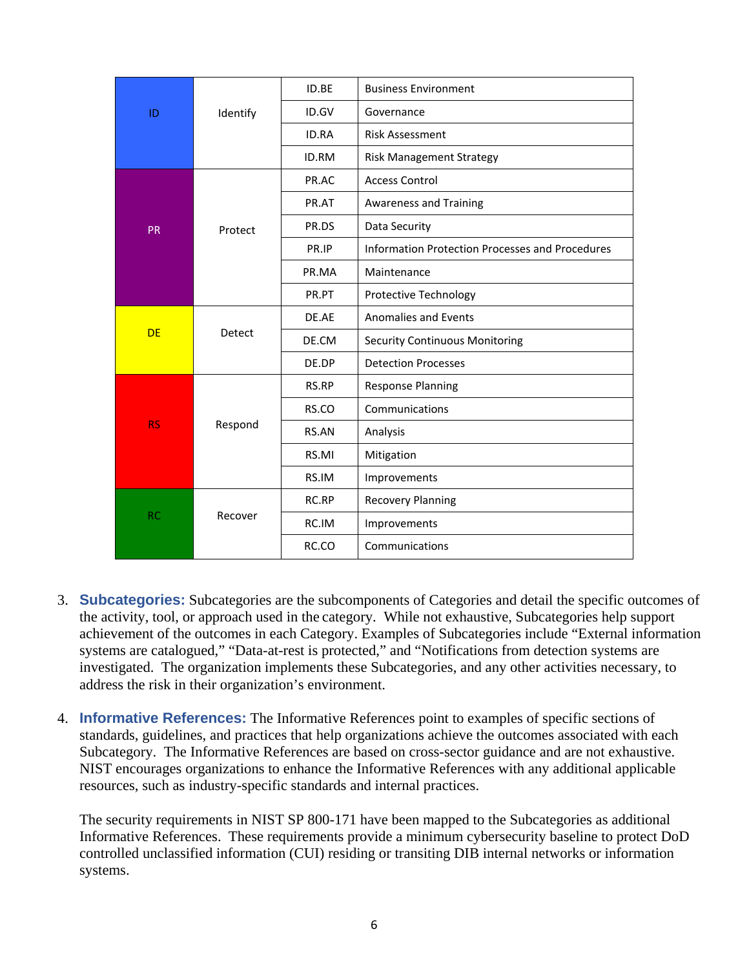|           | Identify | ID.BE | <b>Business Environment</b>                            |  |
|-----------|----------|-------|--------------------------------------------------------|--|
| ID        |          | ID.GV | Governance                                             |  |
|           |          | ID.RA | <b>Risk Assessment</b>                                 |  |
|           |          | ID.RM | <b>Risk Management Strategy</b>                        |  |
| <b>PR</b> | Protect  | PR.AC | <b>Access Control</b>                                  |  |
|           |          | PR.AT | <b>Awareness and Training</b>                          |  |
|           |          | PR.DS | Data Security                                          |  |
|           |          | PR.IP | <b>Information Protection Processes and Procedures</b> |  |
|           |          | PR.MA | Maintenance                                            |  |
|           |          | PR.PT | <b>Protective Technology</b>                           |  |
| <b>DE</b> | Detect   | DE.AE | <b>Anomalies and Events</b>                            |  |
|           |          | DE.CM | <b>Security Continuous Monitoring</b>                  |  |
|           |          | DE.DP | <b>Detection Processes</b>                             |  |
| <b>RS</b> | Respond  | RS.RP | <b>Response Planning</b>                               |  |
|           |          | RS.CO | Communications                                         |  |
|           |          | RS.AN | Analysis                                               |  |
|           |          | RS.MI | Mitigation                                             |  |
|           |          | RS.IM | Improvements                                           |  |
| <b>RC</b> | Recover  | RC.RP | <b>Recovery Planning</b>                               |  |
|           |          | RC.IM | Improvements                                           |  |
|           |          | RC.CO | Communications                                         |  |

- investigated. The organization implements these Subcategories, and any other activities necessary, to 3. **Subcategories:** Subcategories are the subcomponents of Categories and detail the specific outcomes of the activity, tool, or approach used in the category. While not exhaustive, Subcategories help support achievement of the outcomes in each Category. Examples of Subcategories include "External information systems are catalogued," "Data-at-rest is protected," and "Notifications from detection systems are address the risk in their organization's environment.
- 4. **Informative References:** The Informative References point to examples of specific sections of standards, guidelines, and practices that help organizations achieve the outcomes associated with each Subcategory. The Informative References are based on cross-sector guidance and are not exhaustive. NIST encourages organizations to enhance the Informative References with any additional applicable resources, such as industry-specific standards and internal practices.

The security requirements in NIST SP 800-171 have been mapped to the Subcategories as additional Informative References. These requirements provide a minimum cybersecurity baseline to protect DoD controlled unclassified information (CUI) residing or transiting DIB internal networks or information systems.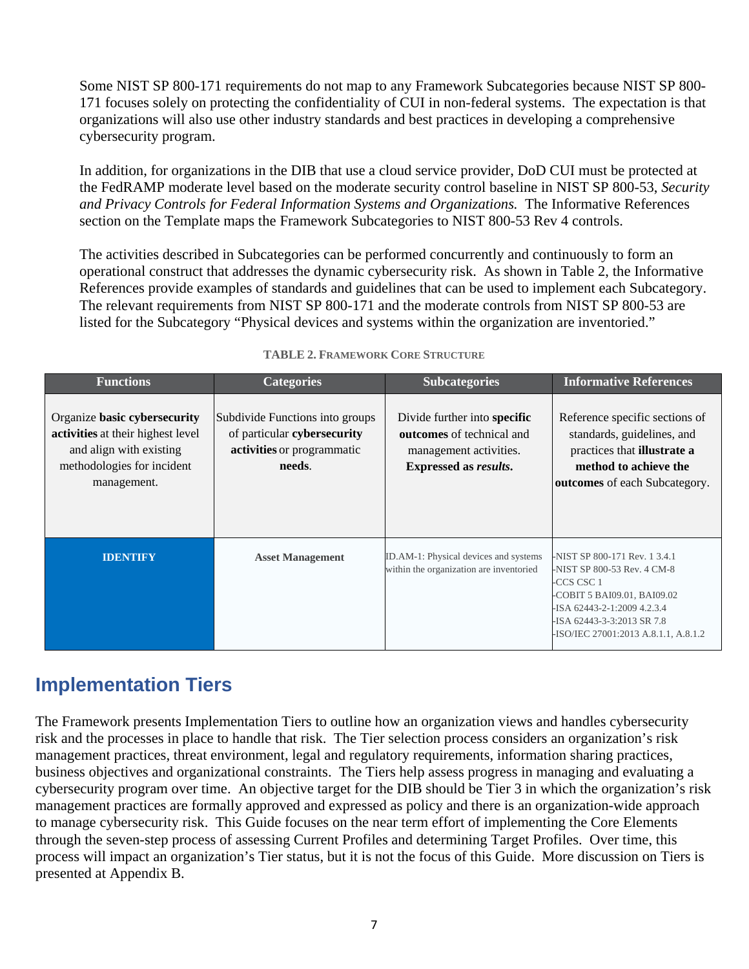Some NIST SP 800-171 requirements do not map to any Framework Subcategories because NIST SP 800- 171 focuses solely on protecting the confidentiality of CUI in non-federal systems. The expectation is that organizations will also use other industry standards and best practices in developing a comprehensive cybersecurity program.

In addition, for organizations in the DIB that use a cloud service provider, DoD CUI must be protected at the FedRAMP moderate level based on the moderate security control baseline in NIST SP 800-53, *Security and Privacy Controls for Federal Information Systems and Organizations.* The Informative References section on the Template maps the Framework Subcategories to NIST 800-53 Rev 4 controls.

The activities described in Subcategories can be performed concurrently and continuously to form an operational construct that addresses the dynamic cybersecurity risk. As shown in Table 2, the Informative References provide examples of standards and guidelines that can be used to implement each Subcategory. The relevant requirements from NIST SP 800-171 and the moderate controls from NIST SP 800-53 are listed for the Subcategory "Physical devices and systems within the organization are inventoried."

| <b>Functions</b>                                                                                                                          | <b>Categories</b>                                                                                      | <b>Subcategories</b>                                                                                                       | <b>Informative References</b>                                                                                                                                                                                  |
|-------------------------------------------------------------------------------------------------------------------------------------------|--------------------------------------------------------------------------------------------------------|----------------------------------------------------------------------------------------------------------------------------|----------------------------------------------------------------------------------------------------------------------------------------------------------------------------------------------------------------|
| Organize basic cybersecurity<br>activities at their highest level<br>and align with existing<br>methodologies for incident<br>management. | Subdivide Functions into groups<br>of particular cybersecurity<br>activities or programmatic<br>needs. | Divide further into specific<br><b>outcomes</b> of technical and<br>management activities.<br><b>Expressed as results.</b> | Reference specific sections of<br>standards, guidelines, and<br>practices that <b>illustrate a</b><br>method to achieve the<br>outcomes of each Subcategory.                                                   |
| <b>IDENTIFY</b>                                                                                                                           | <b>Asset Management</b>                                                                                | ID.AM-1: Physical devices and systems<br>within the organization are inventoried                                           | -NIST SP 800-171 Rev. 1 3.4.1<br>-NIST SP 800-53 Rev. 4 CM-8<br>-CCS CSC 1<br>-COBIT 5 BAI09.01, BAI09.02<br>-ISA 62443-2-1:2009 4.2.3.4<br>-ISA 62443-3-3:2013 SR 7.8<br>-ISO/IEC 27001:2013 A.8.1.1, A.8.1.2 |

#### **TABLE 2. FRAMEWORK CORE STRUCTURE**

#### **Implementation Tiers**

The Framework presents Implementation Tiers to outline how an organization views and handles cybersecurity risk and the processes in place to handle that risk. The Tier selection process considers an organization's risk management practices, threat environment, legal and regulatory requirements, information sharing practices, business objectives and organizational constraints. The Tiers help assess progress in managing and evaluating a cybersecurity program over time. An objective target for the DIB should be Tier 3 in which the organization's risk management practices are formally approved and expressed as policy and there is an organization-wide approach to manage cybersecurity risk. This Guide focuses on the near term effort of implementing the Core Elements through the seven-step process of assessing Current Profiles and determining Target Profiles. Over time, this process will impact an organization's Tier status, but it is not the focus of this Guide. More discussion on Tiers is presented at Appendix B.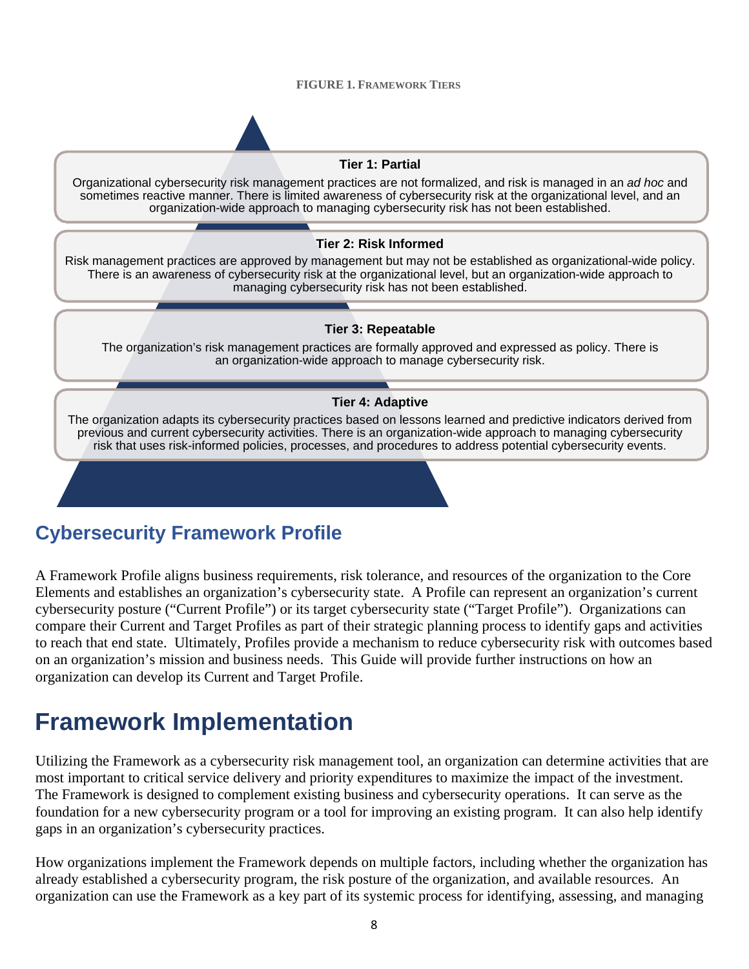#### **FIGURE 1. FRAMEWORK TIERS**

#### **Tier 1: Partial**

Organizational cybersecurity risk management practices are not formalized, and risk is managed in an *ad hoc* and sometimes reactive manner. There is limited awareness of cybersecurity risk at the organizational level, and an organization-wide approach to managing cybersecurity risk has not been established.

#### **Tier 2: Risk Informed**

Risk management practices are approved by management but may not be established as organizational-wide policy. There is an awareness of cybersecurity risk at the organizational level, but an organization-wide approach to managing cybersecurity risk has not been established.

#### **Tier 3: Repeatable**

The organization's risk management practices are formally approved and expressed as policy. There is an organization-wide approach to manage cybersecurity risk.

#### **Tier 4: Adaptive**

The organization adapts its cybersecurity practices based on lessons learned and predictive indicators derived from previous and current cybersecurity activities. There is an organization-wide approach to managing cybersecurity risk that uses risk-informed policies, processes, and procedures to address potential cybersecurity events.

#### **Cybersecurity Framework Profile**

A Framework Profile aligns business requirements, risk tolerance, and resources of the organization to the Core Elements and establishes an organization's cybersecurity state. A Profile can represent an organization's current cybersecurity posture ("Current Profile") or its target cybersecurity state ("Target Profile"). Organizations can compare their Current and Target Profiles as part of their strategic planning process to identify gaps and activities to reach that end state. Ultimately, Profiles provide a mechanism to reduce cybersecurity risk with outcomes based on an organization's mission and business needs. This Guide will provide further instructions on how an organization can develop its Current and Target Profile.

### **Framework Implementation**

Utilizing the Framework as a cybersecurity risk management tool, an organization can determine activities that are most important to critical service delivery and priority expenditures to maximize the impact of the investment. The Framework is designed to complement existing business and cybersecurity operations. It can serve as the foundation for a new cybersecurity program or a tool for improving an existing program. It can also help identify gaps in an organization's cybersecurity practices.

How organizations implement the Framework depends on multiple factors, including whether the organization has already established a cybersecurity program, the risk posture of the organization, and available resources. An organization can use the Framework as a key part of its systemic process for identifying, assessing, and managing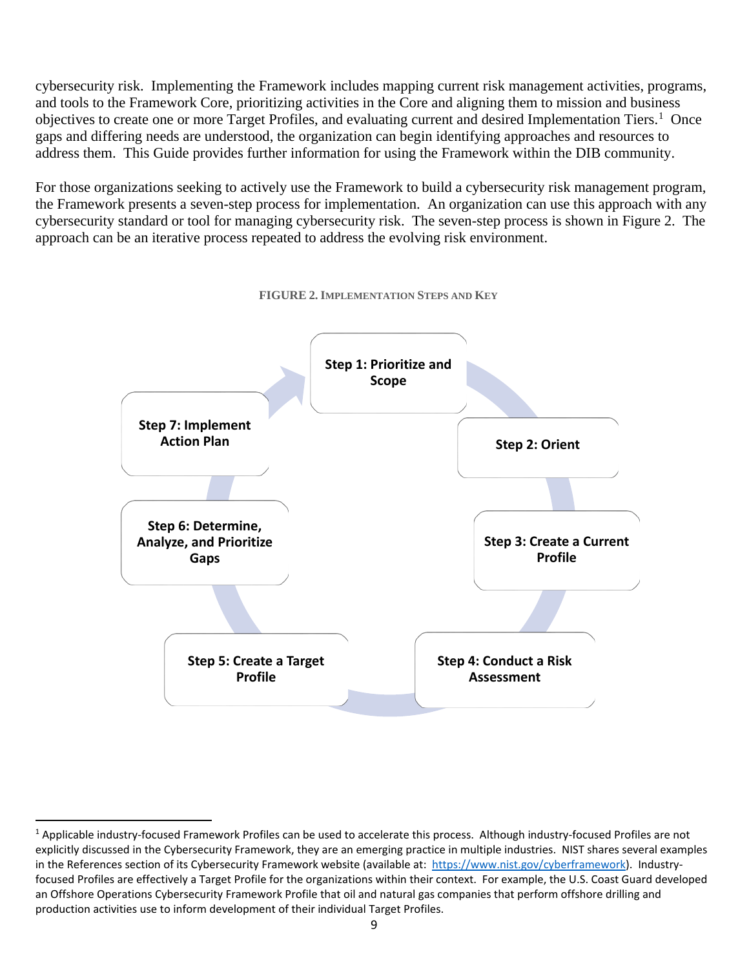cybersecurity risk. Implementing the Framework includes mapping current risk management activities, programs, and tools to the Framework Core, prioritizing activities in the Core and aligning them to mission and business objectives to create one or more Target Profiles, and evaluating current and desired Implementation Tiers.<sup>[1](#page-9-0)</sup> Once gaps and differing needs are understood, the organization can begin identifying approaches and resources to address them. This Guide provides further information for using the Framework within the DIB community.

For those organizations seeking to actively use the Framework to build a cybersecurity risk management program, the Framework presents a seven-step process for implementation. An organization can use this approach with any cybersecurity standard or tool for managing cybersecurity risk. The seven-step process is shown in Figure 2. The approach can be an iterative process repeated to address the evolving risk environment.



 $\overline{\phantom{a}}$ 

<span id="page-9-0"></span><sup>&</sup>lt;sup>1</sup> Applicable industry-focused Framework Profiles can be used to accelerate this process. Although industry-focused Profiles are not explicitly discussed in the Cybersecurity Framework, they are an emerging practice in multiple industries. NIST shares several examples in the References section of its Cybersecurity Framework website (available at: [https://www.nist.gov/cyberframework\)](https://www.nist.gov/cyberframework). Industryfocused Profiles are effectively a Target Profile for the organizations within their context. For example, the U.S. Coast Guard developed an Offshore Operations Cybersecurity Framework Profile that oil and natural gas companies that perform offshore drilling and production activities use to inform development of their individual Target Profiles.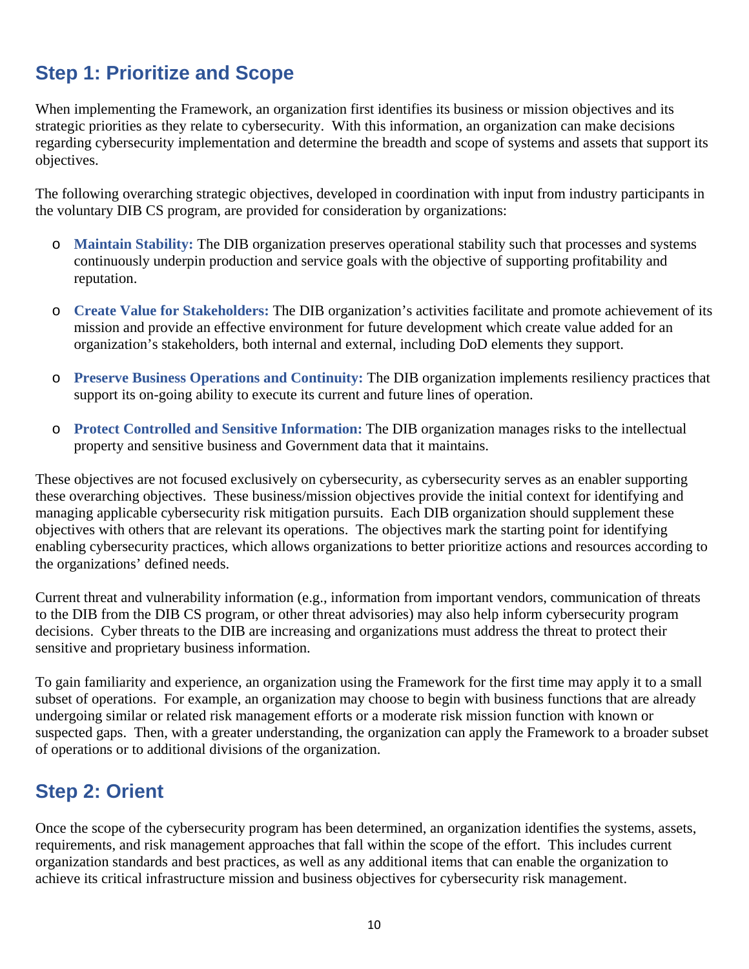### **Step 1: Prioritize and Scope**

When implementing the Framework, an organization first identifies its business or mission objectives and its strategic priorities as they relate to cybersecurity. With this information, an organization can make decisions regarding cybersecurity implementation and determine the breadth and scope of systems and assets that support its objectives.

The following overarching strategic objectives, developed in coordination with input from industry participants in the voluntary DIB CS program, are provided for consideration by organizations:

- o **Maintain Stability:** The DIB organization preserves operational stability such that processes and systems continuously underpin production and service goals with the objective of supporting profitability and reputation.
- o **Create Value for Stakeholders:** The DIB organization's activities facilitate and promote achievement of its mission and provide an effective environment for future development which create value added for an organization's stakeholders, both internal and external, including DoD elements they support.
- o **Preserve Business Operations and Continuity:** The DIB organization implements resiliency practices that support its on-going ability to execute its current and future lines of operation.
- o **Protect Controlled and Sensitive Information:** The DIB organization manages risks to the intellectual property and sensitive business and Government data that it maintains.

These objectives are not focused exclusively on cybersecurity, as cybersecurity serves as an enabler supporting these overarching objectives. These business/mission objectives provide the initial context for identifying and managing applicable cybersecurity risk mitigation pursuits. Each DIB organization should supplement these objectives with others that are relevant its operations. The objectives mark the starting point for identifying enabling cybersecurity practices, which allows organizations to better prioritize actions and resources according to the organizations' defined needs.

Current threat and vulnerability information (e.g., information from important vendors, communication of threats to the DIB from the DIB CS program, or other threat advisories) may also help inform cybersecurity program decisions. Cyber threats to the DIB are increasing and organizations must address the threat to protect their sensitive and proprietary business information.

To gain familiarity and experience, an organization using the Framework for the first time may apply it to a small subset of operations. For example, an organization may choose to begin with business functions that are already undergoing similar or related risk management efforts or a moderate risk mission function with known or suspected gaps. Then, with a greater understanding, the organization can apply the Framework to a broader subset of operations or to additional divisions of the organization.

### **Step 2: Orient**

Once the scope of the cybersecurity program has been determined, an organization identifies the systems, assets, requirements, and risk management approaches that fall within the scope of the effort. This includes current organization standards and best practices, as well as any additional items that can enable the organization to achieve its critical infrastructure mission and business objectives for cybersecurity risk management.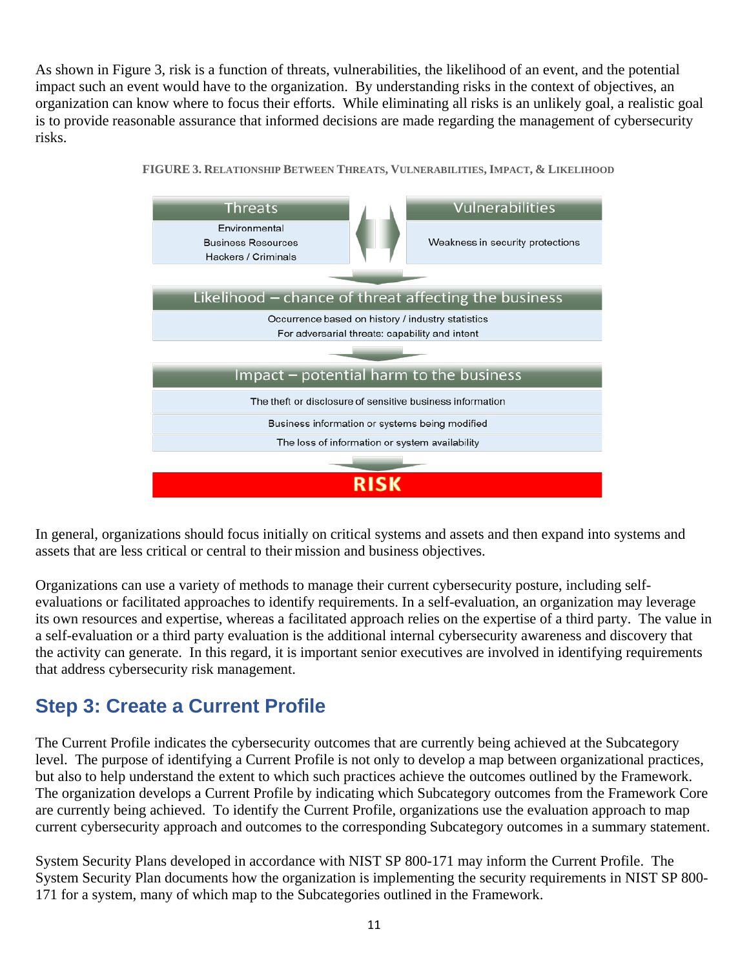As shown in Figure 3, risk is a function of threats, vulnerabilities, the likelihood of an event, and the potential impact such an event would have to the organization. By understanding risks in the context of objectives, an organization can know where to focus their efforts. While eliminating all risks is an unlikely goal, a realistic goal is to provide reasonable assurance that informed decisions are made regarding the management of cybersecurity risks.



**FIGURE 3. RELATIONSHIP BETWEEN THREATS, VULNERABILITIES, IMPACT, & LIKELIHOOD**

In general, organizations should focus initially on critical systems and assets and then expand into systems and assets that are less critical or central to their mission and business objectives.

Organizations can use a variety of methods to manage their current cybersecurity posture, including selfevaluations or facilitated approaches to identify requirements. In a self-evaluation, an organization may leverage its own resources and expertise, whereas a facilitated approach relies on the expertise of a third party. The value in a self-evaluation or a third party evaluation is the additional internal cybersecurity awareness and discovery that the activity can generate. In this regard, it is important senior executives are involved in identifying requirements that address cybersecurity risk management.

#### **Step 3: Create a Current Profile**

The Current Profile indicates the cybersecurity outcomes that are currently being achieved at the Subcategory level. The purpose of identifying a Current Profile is not only to develop a map between organizational practices, but also to help understand the extent to which such practices achieve the outcomes outlined by the Framework. The organization develops a Current Profile by indicating which Subcategory outcomes from the Framework Core are currently being achieved. To identify the Current Profile, organizations use the evaluation approach to map current cybersecurity approach and outcomes to the corresponding Subcategory outcomes in a summary statement.

System Security Plans developed in accordance with NIST SP 800-171 may inform the Current Profile. The System Security Plan documents how the organization is implementing the security requirements in NIST SP 800- 171 for a system, many of which map to the Subcategories outlined in the Framework.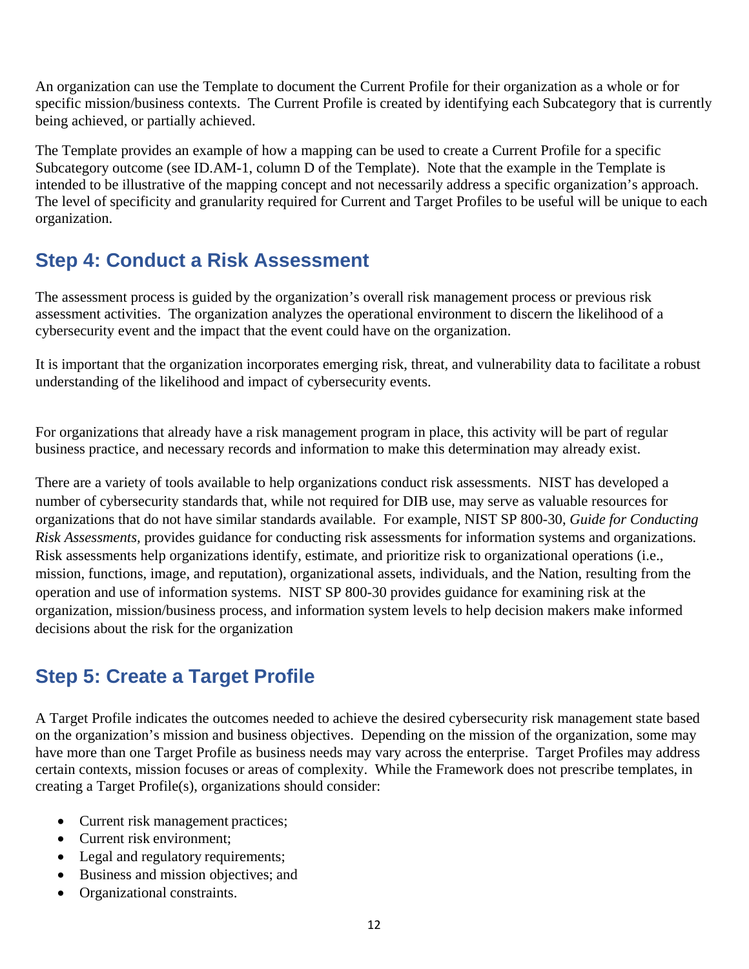An organization can use the Template to document the Current Profile for their organization as a whole or for specific mission/business contexts. The Current Profile is created by identifying each Subcategory that is currently being achieved, or partially achieved.

The Template provides an example of how a mapping can be used to create a Current Profile for a specific Subcategory outcome (see ID.AM-1, column D of the Template). Note that the example in the Template is intended to be illustrative of the mapping concept and not necessarily address a specific organization's approach. The level of specificity and granularity required for Current and Target Profiles to be useful will be unique to each organization.

#### **Step 4: Conduct a Risk Assessment**

The assessment process is guided by the organization's overall risk management process or previous risk assessment activities. The organization analyzes the operational environment to discern the likelihood of a cybersecurity event and the impact that the event could have on the organization.

It is important that the organization incorporates emerging risk, threat, and vulnerability data to facilitate a robust understanding of the likelihood and impact of cybersecurity events.

For organizations that already have a risk management program in place, this activity will be part of regular business practice, and necessary records and information to make this determination may already exist.

There are a variety of tools available to help organizations conduct risk assessments. NIST has developed a number of cybersecurity standards that, while not required for DIB use, may serve as valuable resources for organizations that do not have similar standards available. For example, NIST SP 800-30, *Guide for Conducting Risk Assessments,* provides guidance for conducting risk assessments for information systems and organizations*.*  Risk assessments help organizations identify, estimate, and prioritize risk to organizational operations (i.e., mission, functions, image, and reputation), organizational assets, individuals, and the Nation, resulting from the operation and use of information systems. NIST SP 800-30 provides guidance for examining risk at the organization, mission/business process, and information system levels to help decision makers make informed decisions about the risk for the organization

### **Step 5: Create a Target Profile**

A Target Profile indicates the outcomes needed to achieve the desired cybersecurity risk management state based on the organization's mission and business objectives. Depending on the mission of the organization, some may have more than one Target Profile as business needs may vary across the enterprise. Target Profiles may address certain contexts, mission focuses or areas of complexity. While the Framework does not prescribe templates, in creating a Target Profile(s), organizations should consider:

- Current risk management practices;
- Current risk environment;
- Legal and regulatory requirements;
- Business and mission objectives; and
- Organizational constraints.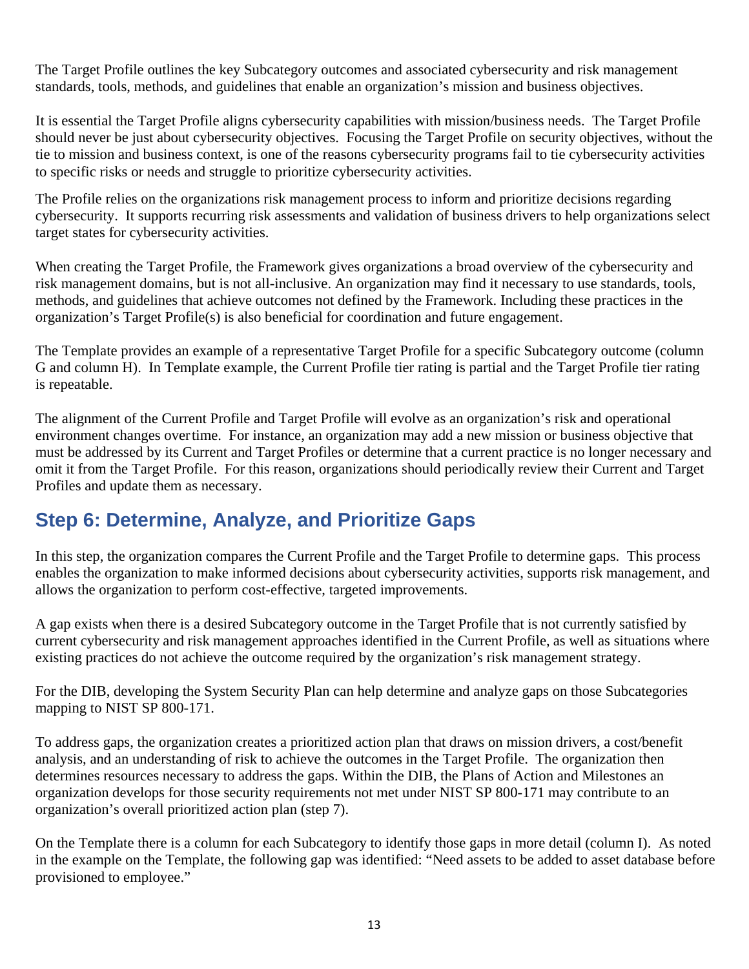The Target Profile outlines the key Subcategory outcomes and associated cybersecurity and risk management standards, tools, methods, and guidelines that enable an organization's mission and business objectives.

It is essential the Target Profile aligns cybersecurity capabilities with mission/business needs. The Target Profile should never be just about cybersecurity objectives. Focusing the Target Profile on security objectives, without the tie to mission and business context, is one of the reasons cybersecurity programs fail to tie cybersecurity activities to specific risks or needs and struggle to prioritize cybersecurity activities.

The Profile relies on the organizations risk management process to inform and prioritize decisions regarding cybersecurity. It supports recurring risk assessments and validation of business drivers to help organizations select target states for cybersecurity activities.

When creating the Target Profile, the Framework gives organizations a broad overview of the cybersecurity and risk management domains, but is not all-inclusive. An organization may find it necessary to use standards, tools, methods, and guidelines that achieve outcomes not defined by the Framework. Including these practices in the organization's Target Profile(s) is also beneficial for coordination and future engagement.

The Template provides an example of a representative Target Profile for a specific Subcategory outcome (column G and column H). In Template example, the Current Profile tier rating is partial and the Target Profile tier rating is repeatable.

The alignment of the Current Profile and Target Profile will evolve as an organization's risk and operational environment changes over time. For instance, an organization may add a new mission or business objective that must be addressed by its Current and Target Profiles or determine that a current practice is no longer necessary and omit it from the Target Profile. For this reason, organizations should periodically review their Current and Target Profiles and update them as necessary.

### **Step 6: Determine, Analyze, and Prioritize Gaps**

In this step, the organization compares the Current Profile and the Target Profile to determine gaps. This process enables the organization to make informed decisions about cybersecurity activities, supports risk management, and allows the organization to perform cost-effective, targeted improvements.

A gap exists when there is a desired Subcategory outcome in the Target Profile that is not currently satisfied by current cybersecurity and risk management approaches identified in the Current Profile, as well as situations where existing practices do not achieve the outcome required by the organization's risk management strategy.

For the DIB, developing the System Security Plan can help determine and analyze gaps on those Subcategories mapping to NIST SP 800-171.

To address gaps, the organization creates a prioritized action plan that draws on mission drivers, a cost/benefit analysis, and an understanding of risk to achieve the outcomes in the Target Profile. The organization then determines resources necessary to address the gaps. Within the DIB, the Plans of Action and Milestones an organization develops for those security requirements not met under NIST SP 800-171 may contribute to an organization's overall prioritized action plan (step 7).

On the Template there is a column for each Subcategory to identify those gaps in more detail (column I). As noted in the example on the Template, the following gap was identified: "Need assets to be added to asset database before provisioned to employee."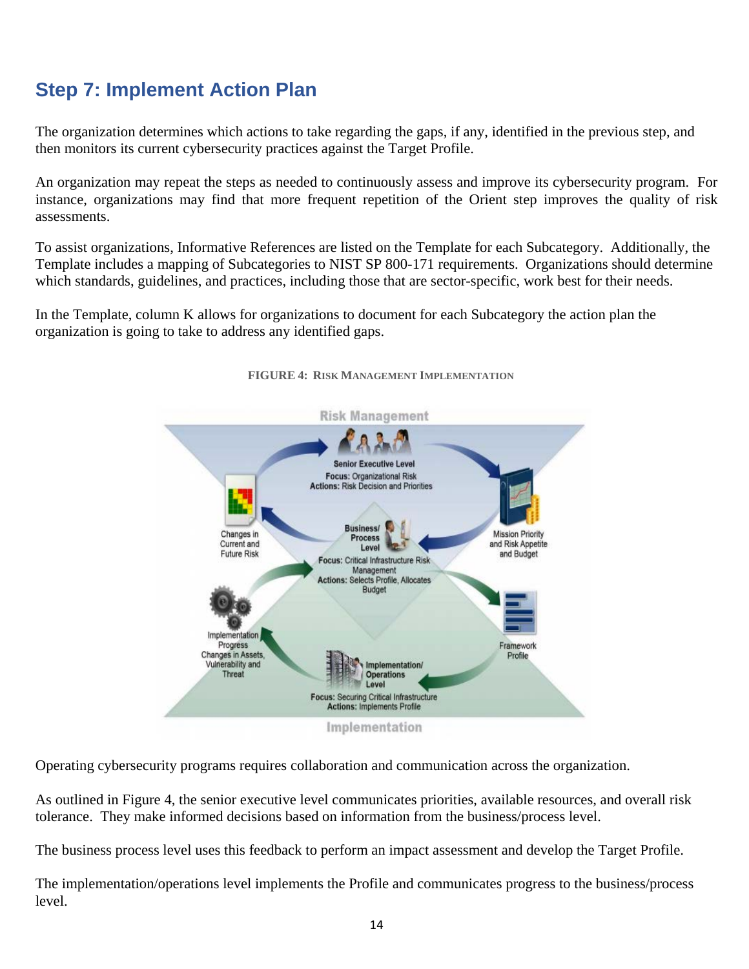### **Step 7: Implement Action Plan**

The organization determines which actions to take regarding the gaps, if any, identified in the previous step, and then monitors its current cybersecurity practices against the Target Profile.

An organization may repeat the steps as needed to continuously assess and improve its cybersecurity program. For instance, organizations may find that more frequent repetition of the Orient step improves the quality of risk assessments.

To assist organizations, Informative References are listed on the Template for each Subcategory. Additionally, the Template includes a mapping of Subcategories to NIST SP 800-171 requirements. Organizations should determine which standards, guidelines, and practices, including those that are sector-specific, work best for their needs.

In the Template, column K allows for organizations to document for each Subcategory the action plan the organization is going to take to address any identified gaps.



#### **FIGURE 4: RISK MANAGEMENT IMPLEMENTATION**

Operating cybersecurity programs requires collaboration and communication across the organization.

As outlined in Figure 4, the senior executive level communicates priorities, available resources, and overall risk tolerance. They make informed decisions based on information from the business/process level.

The business process level uses this feedback to perform an impact assessment and develop the Target Profile.

The implementation/operations level implements the Profile and communicates progress to the business/process level.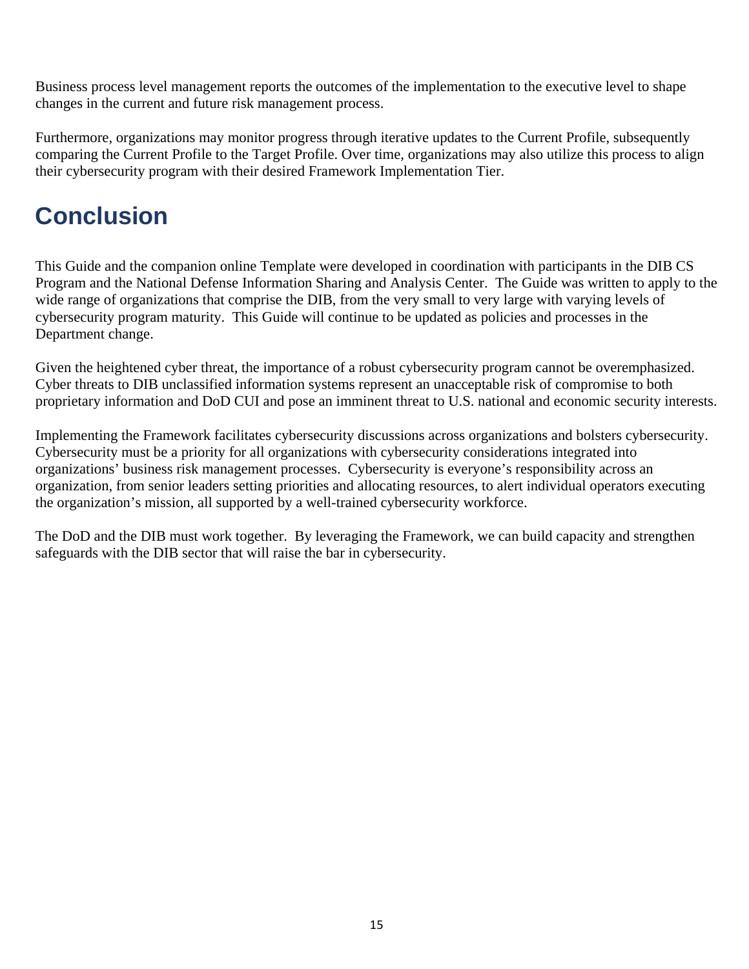Business process level management reports the outcomes of the implementation to the executive level to shape changes in the current and future risk management process.

Furthermore, organizations may monitor progress through iterative updates to the Current Profile, subsequently comparing the Current Profile to the Target Profile. Over time, organizations may also utilize this process to align their cybersecurity program with their desired Framework Implementation Tier.

## **Conclusion**

This Guide and the companion online Template were developed in coordination with participants in the DIB CS Program and the National Defense Information Sharing and Analysis Center. The Guide was written to apply to the wide range of organizations that comprise the DIB, from the very small to very large with varying levels of cybersecurity program maturity. This Guide will continue to be updated as policies and processes in the Department change.

Given the heightened cyber threat, the importance of a robust cybersecurity program cannot be overemphasized. Cyber threats to DIB unclassified information systems represent an unacceptable risk of compromise to both proprietary information and DoD CUI and pose an imminent threat to U.S. national and economic security interests.

Implementing the Framework facilitates cybersecurity discussions across organizations and bolsters cybersecurity. Cybersecurity must be a priority for all organizations with cybersecurity considerations integrated into organizations' business risk management processes. Cybersecurity is everyone's responsibility across an organization, from senior leaders setting priorities and allocating resources, to alert individual operators executing the organization's mission, all supported by a well-trained cybersecurity workforce.

The DoD and the DIB must work together. By leveraging the Framework, we can build capacity and strengthen safeguards with the DIB sector that will raise the bar in cybersecurity.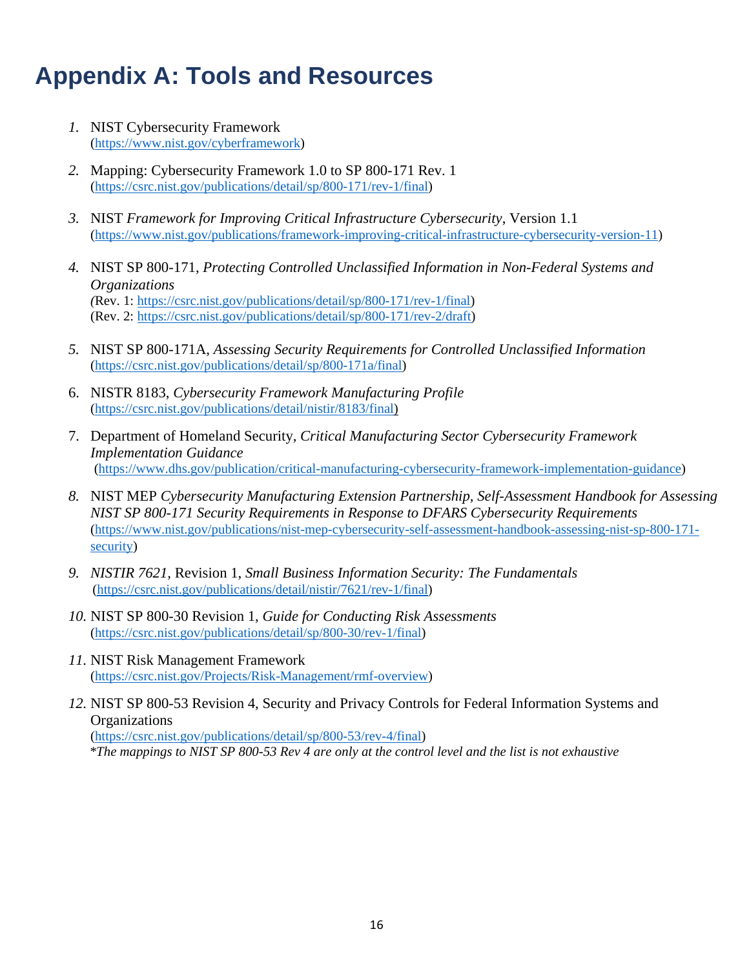### **Appendix A: Tools and Resources**

- *1.* NIST Cybersecurity Framework [\(https://www.nist.gov/cyberframework\)](https://www.nist.gov/cyberframework)
- *2.* Mapping: Cybersecurity Framework 1.0 to SP 800-171 Rev. 1 [\(https://csrc.nist.gov/publications/detail/sp/800-171/rev-1/final\)](https://csrc.nist.gov/publications/detail/sp/800-171/rev-1/final)
- *3.* NIST *Framework for Improving Critical Infrastructure Cybersecurity*, Version 1.1 [\(https://www.nist.gov/publications/framework-improving-critical-infrastructure-cybersecurity-version-11\)](https://www.nist.gov/publications/framework-improving-critical-infrastructure-cybersecurity-version-11)
- *4.* NIST SP 800-171, *Protecting Controlled Unclassified Information in Non-Federal Systems and Organizations (*Rev. 1: [https://csrc.nist.gov/publications/detail/sp/800-171/rev-1/final\)](https://csrc.nist.gov/publications/detail/sp/800-171/rev-1/final) (Rev. 2: [https://csrc.nist.gov/publications/detail/sp/800-171/rev-2/draft\)](https://csrc.nist.gov/publications/detail/sp/800-171/rev-2/draft)
- *5.* NIST SP 800-171A, *Assessing Security Requirements for Controlled Unclassified Information*  [\(https://csrc.nist.gov/publications/detail/sp/800-171a/final\)](https://csrc.nist.gov/publications/detail/sp/800-171a/final)
- 6. NISTR 8183, *Cybersecurity Framework Manufacturing Profile* [\(https://csrc.nist.gov/publications/detail/nistir/8183/final\)](https://csrc.nist.gov/publications/detail/nistir/8183/final)
- 7. Department of Homeland Security, *Critical Manufacturing Sector Cybersecurity Framework Implementation Guidance* [\(https://www.dhs.gov/publication/critical-manufacturing-cybersecurity-framework-implementation-guidance\)](https://www.dhs.gov/publication/critical-manufacturing-cybersecurity-framework-implementation-guidance)
- *8.* NIST MEP *Cybersecurity Manufacturing Extension Partnership, Self-Assessment Handbook for Assessing NIST SP 800-171 Security Requirements in Response to DFARS Cybersecurity Requirements*  [\(https://www.nist.gov/publications/nist-mep-cybersecurity-self-assessment-handbook-assessing-nist-sp-800-171](https://www.nist.gov/publications/nist-mep-cybersecurity-self-assessment-handbook-assessing-nist-sp-800-171-%20%20%20security)  [security\)](https://www.nist.gov/publications/nist-mep-cybersecurity-self-assessment-handbook-assessing-nist-sp-800-171-%20%20%20security)
- *9. NISTIR 7621,* Revision 1, *Small Business Information Security: The Fundamentals*  [\(https://csrc.nist.gov/publications/detail/nistir/7621/rev-1/final\)](https://csrc.nist.gov/publications/detail/nistir/7621/rev-1/final)
- *10.* NIST SP 800-30 Revision 1, *Guide for Conducting Risk Assessments*  [\(https://csrc.nist.gov/publications/detail/sp/800-30/rev-1/final\)](https://csrc.nist.gov/publications/detail/sp/800-30/rev-1/final)
- *11.* NIST Risk Management Framework [\(https://csrc.nist.gov/Projects/Risk-Management/rmf-overview\)](https://csrc.nist.gov/Projects/Risk-Management/rmf-overview)
- *12.* NIST SP 800-53 Revision 4, Security and Privacy Controls for Federal Information Systems and **Organizations** [\(https://csrc.nist.gov/publications/detail/sp/800-53/rev-4/final\)](https://csrc.nist.gov/publications/detail/sp/800-53/rev-4/final) *\*The mappings to NIST SP 800-53 Rev 4 are only at the control level and the list is not exhaustive*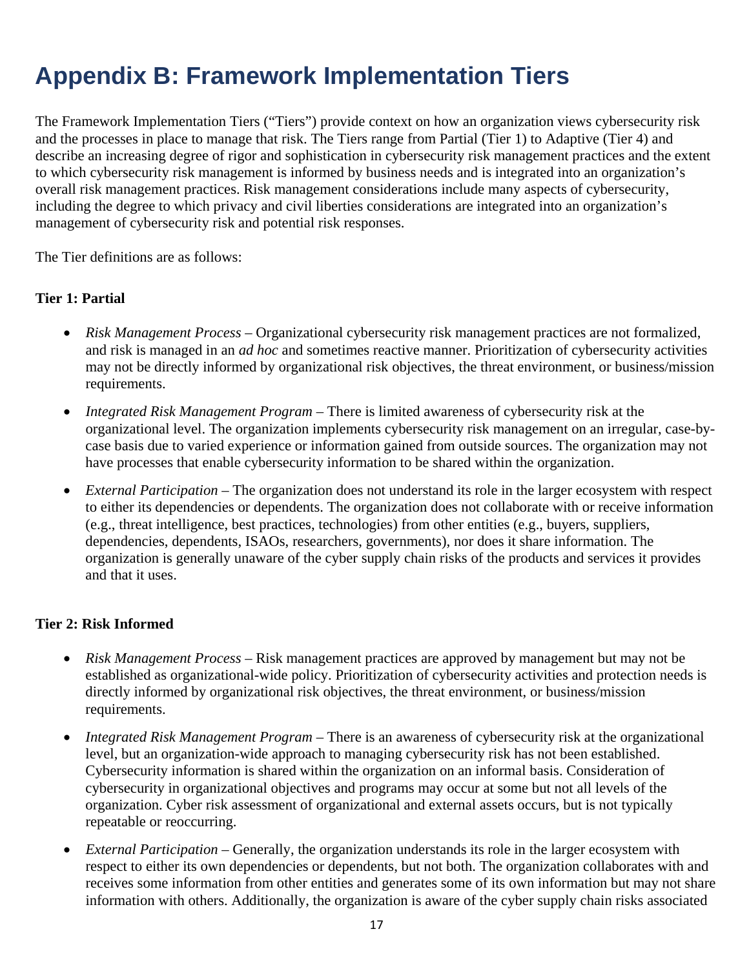### **Appendix B: Framework Implementation Tiers**

The Framework Implementation Tiers ("Tiers") provide context on how an organization views cybersecurity risk and the processes in place to manage that risk. The Tiers range from Partial (Tier 1) to Adaptive (Tier 4) and describe an increasing degree of rigor and sophistication in cybersecurity risk management practices and the extent to which cybersecurity risk management is informed by business needs and is integrated into an organization's overall risk management practices. Risk management considerations include many aspects of cybersecurity, including the degree to which privacy and civil liberties considerations are integrated into an organization's management of cybersecurity risk and potential risk responses.

The Tier definitions are as follows:

#### **Tier 1: Partial**

- *Risk Management Process*  Organizational cybersecurity risk management practices are not formalized, and risk is managed in an *ad hoc* and sometimes reactive manner. Prioritization of cybersecurity activities may not be directly informed by organizational risk objectives, the threat environment, or business/mission requirements.
- *Integrated Risk Management Program* There is limited awareness of cybersecurity risk at the organizational level. The organization implements cybersecurity risk management on an irregular, case-bycase basis due to varied experience or information gained from outside sources. The organization may not have processes that enable cybersecurity information to be shared within the organization.
- *External Participation* The organization does not understand its role in the larger ecosystem with respect to either its dependencies or dependents. The organization does not collaborate with or receive information (e.g., threat intelligence, best practices, technologies) from other entities (e.g., buyers, suppliers, dependencies, dependents, ISAOs, researchers, governments), nor does it share information. The organization is generally unaware of the cyber supply chain risks of the products and services it provides and that it uses.

#### **Tier 2: Risk Informed**

- *Risk Management Process*  Risk management practices are approved by management but may not be established as organizational-wide policy. Prioritization of cybersecurity activities and protection needs is directly informed by organizational risk objectives, the threat environment, or business/mission requirements.
- *Integrated Risk Management Program* There is an awareness of cybersecurity risk at the organizational level, but an organization-wide approach to managing cybersecurity risk has not been established. Cybersecurity information is shared within the organization on an informal basis. Consideration of cybersecurity in organizational objectives and programs may occur at some but not all levels of the organization. Cyber risk assessment of organizational and external assets occurs, but is not typically repeatable or reoccurring.
- *External Participation* Generally, the organization understands its role in the larger ecosystem with respect to either its own dependencies or dependents, but not both. The organization collaborates with and receives some information from other entities and generates some of its own information but may not share information with others. Additionally, the organization is aware of the cyber supply chain risks associated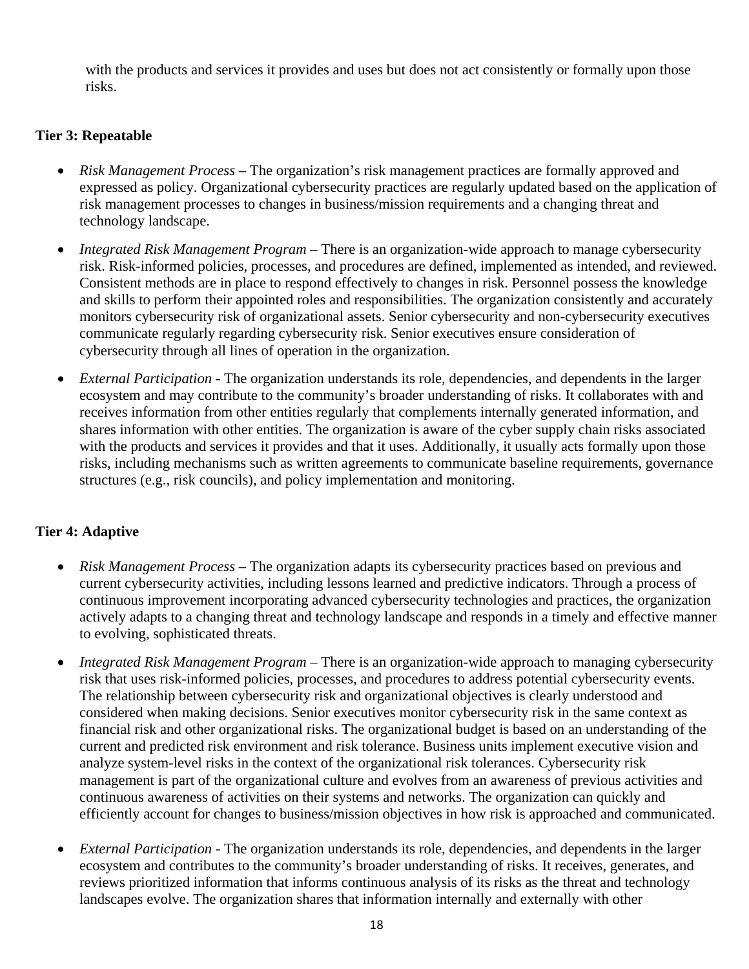with the products and services it provides and uses but does not act consistently or formally upon those risks.

#### **Tier 3: Repeatable**

- *Risk Management Process*  The organization's risk management practices are formally approved and expressed as policy. Organizational cybersecurity practices are regularly updated based on the application of risk management processes to changes in business/mission requirements and a changing threat and technology landscape.
- *Integrated Risk Management Program* There is an organization-wide approach to manage cybersecurity risk. Risk-informed policies, processes, and procedures are defined, implemented as intended, and reviewed. Consistent methods are in place to respond effectively to changes in risk. Personnel possess the knowledge and skills to perform their appointed roles and responsibilities. The organization consistently and accurately monitors cybersecurity risk of organizational assets. Senior cybersecurity and non-cybersecurity executives communicate regularly regarding cybersecurity risk. Senior executives ensure consideration of cybersecurity through all lines of operation in the organization.
- *External Participation* The organization understands its role, dependencies, and dependents in the larger ecosystem and may contribute to the community's broader understanding of risks. It collaborates with and receives information from other entities regularly that complements internally generated information, and shares information with other entities. The organization is aware of the cyber supply chain risks associated with the products and services it provides and that it uses. Additionally, it usually acts formally upon those risks, including mechanisms such as written agreements to communicate baseline requirements, governance structures (e.g., risk councils), and policy implementation and monitoring.

#### **Tier 4: Adaptive**

- *Risk Management Process*  The organization adapts its cybersecurity practices based on previous and current cybersecurity activities, including lessons learned and predictive indicators. Through a process of continuous improvement incorporating advanced cybersecurity technologies and practices, the organization actively adapts to a changing threat and technology landscape and responds in a timely and effective manner to evolving, sophisticated threats.
- *Integrated Risk Management Program* There is an organization-wide approach to managing cybersecurity risk that uses risk-informed policies, processes, and procedures to address potential cybersecurity events. The relationship between cybersecurity risk and organizational objectives is clearly understood and considered when making decisions. Senior executives monitor cybersecurity risk in the same context as financial risk and other organizational risks. The organizational budget is based on an understanding of the current and predicted risk environment and risk tolerance. Business units implement executive vision and analyze system-level risks in the context of the organizational risk tolerances. Cybersecurity risk management is part of the organizational culture and evolves from an awareness of previous activities and continuous awareness of activities on their systems and networks. The organization can quickly and efficiently account for changes to business/mission objectives in how risk is approached and communicated.
- *External Participation*  The organization understands its role, dependencies, and dependents in the larger ecosystem and contributes to the community's broader understanding of risks. It receives, generates, and reviews prioritized information that informs continuous analysis of its risks as the threat and technology landscapes evolve. The organization shares that information internally and externally with other